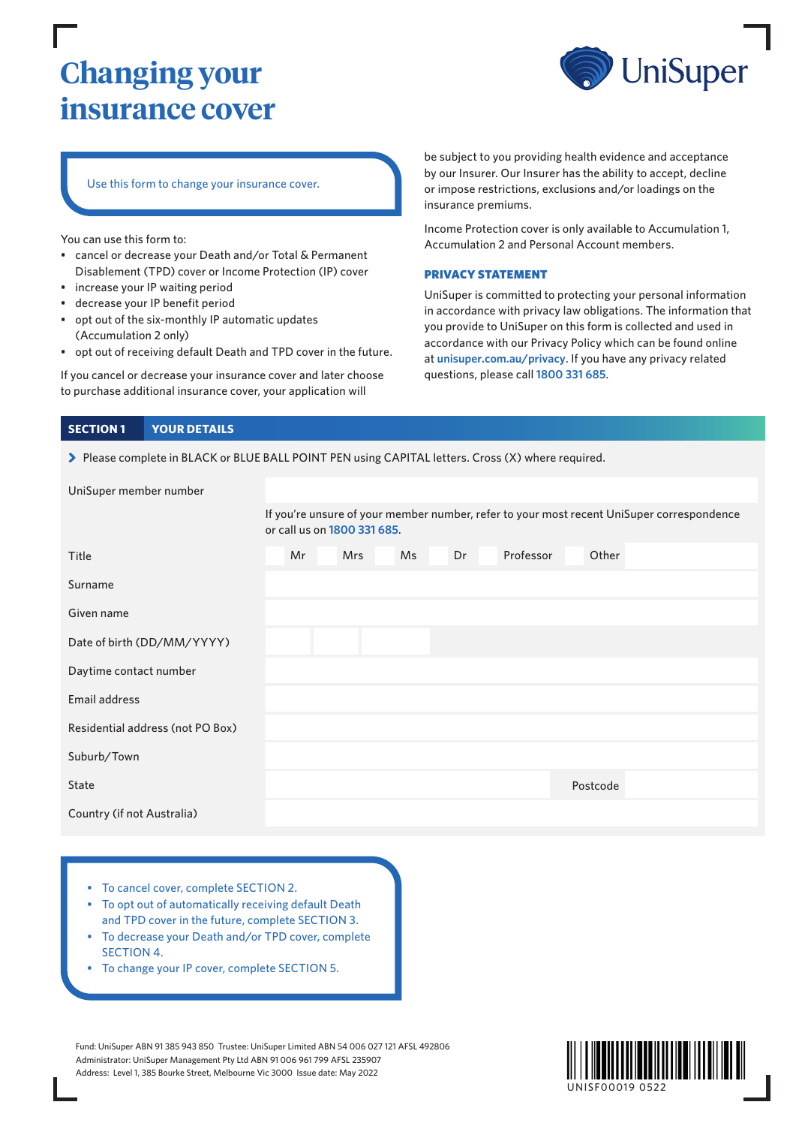# **Changing your insurance cover**



## Use this form to change your insurance cover.

You can use this form to:

- cancel or decrease your Death and/or Total & Permanent Disablement (TPD) cover or Income Protection (IP) cover
- increase your IP waiting period
- decrease your IP benefit period
- opt out of the six-monthly IP automatic updates (Accumulation 2 only)
- opt out of receiving default Death and TPD cover in the future.

If you cancel or decrease your insurance cover and later choose to purchase additional insurance cover, your application will

be subject to you providing health evidence and acceptance by our Insurer. Our Insurer has the ability to accept, decline or impose restrictions, exclusions and/or loadings on the insurance premiums.

Income Protection cover is only available to Accumulation 1, Accumulation 2 and Personal Account members.

#### PRIVACY STATEMENT

UniSuper is committed to protecting your personal information in accordance with privacy law obligations. The information that you provide to UniSuper on this form is collected and used in accordance with our Privacy Policy which can be found online at **[unisuper.com.au/privacy](http://www.unisuper.com.au/privacy)** . If you have any privacy related questions, please call **1800 331 685**.

#### **SECTION 1 YOUR DETAILS**

> Please complete in BLACK or BLUE BALL POINT PEN using CAPITAL letters. Cross (X) where required.

| UniSuper member number           |                                                                                                                          |  |            |           |    |           |  |          |  |  |  |
|----------------------------------|--------------------------------------------------------------------------------------------------------------------------|--|------------|-----------|----|-----------|--|----------|--|--|--|
|                                  | If you're unsure of your member number, refer to your most recent UniSuper correspondence<br>or call us on 1800 331 685. |  |            |           |    |           |  |          |  |  |  |
| Title                            | Mr                                                                                                                       |  | <b>Mrs</b> | <b>Ms</b> | Dr | Professor |  | Other    |  |  |  |
| Surname                          |                                                                                                                          |  |            |           |    |           |  |          |  |  |  |
| Given name                       |                                                                                                                          |  |            |           |    |           |  |          |  |  |  |
| Date of birth (DD/MM/YYYY)       |                                                                                                                          |  |            |           |    |           |  |          |  |  |  |
| Daytime contact number           |                                                                                                                          |  |            |           |    |           |  |          |  |  |  |
| Email address                    |                                                                                                                          |  |            |           |    |           |  |          |  |  |  |
| Residential address (not PO Box) |                                                                                                                          |  |            |           |    |           |  |          |  |  |  |
| Suburb/Town                      |                                                                                                                          |  |            |           |    |           |  |          |  |  |  |
| State                            |                                                                                                                          |  |            |           |    |           |  | Postcode |  |  |  |
| Country (if not Australia)       |                                                                                                                          |  |            |           |    |           |  |          |  |  |  |

- To cancel cover, complete SECTION 2.
- To opt out of automatically receiving default Death and TPD cover in the future, complete SECTION 3.
- To decrease your Death and/or TPD cover, complete SECTION 4.
- To change your IP cover, complete SECTION 5.

Fund: UniSuper ABN 91 385 943 850 Trustee: UniSuper Limited ABN 54 006 027 121 AFSL 492806 Administrator: UniSuper Management Pty Ltd ABN 91 006 961 799 AFSL 235907 Address: Level 1, 385 Bourke Street, Melbourne Vic 3000 Issue date: May 2022

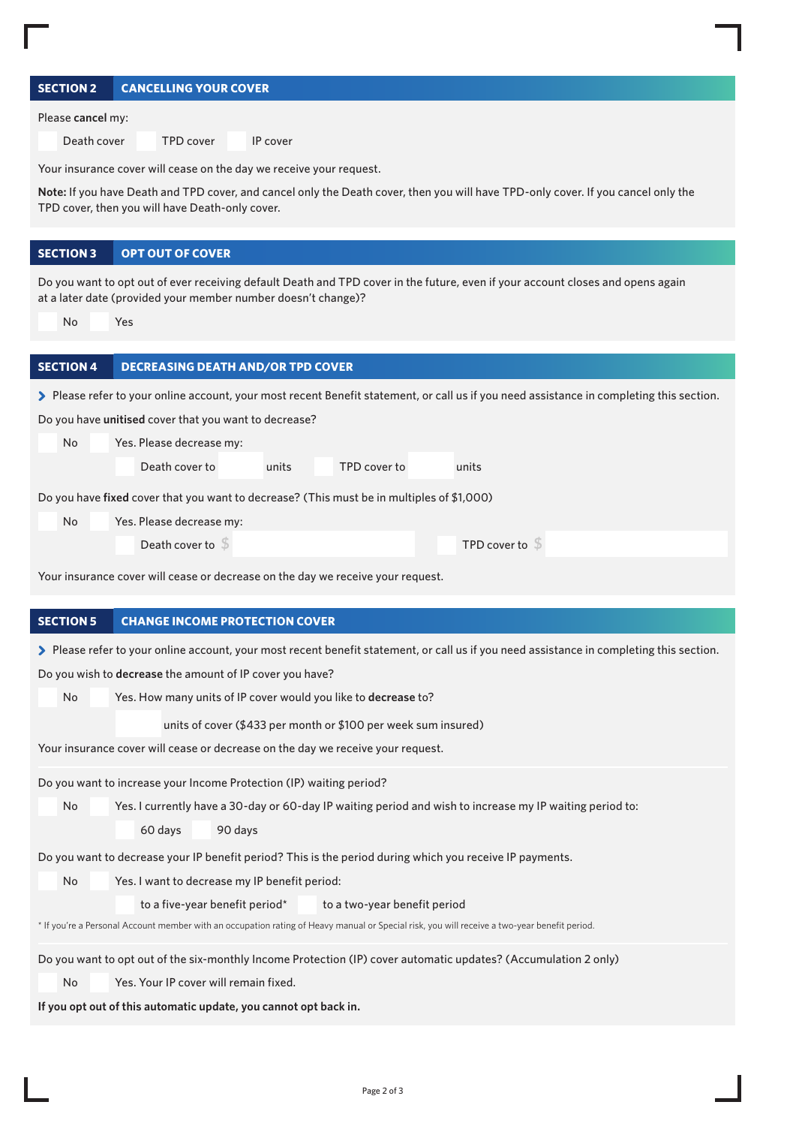| <b>SECTION 2</b><br><b>CANCELLING YOUR COVER</b>                                                                                                                                                               |  |  |  |  |  |  |
|----------------------------------------------------------------------------------------------------------------------------------------------------------------------------------------------------------------|--|--|--|--|--|--|
| Please cancel my:                                                                                                                                                                                              |  |  |  |  |  |  |
| Death cover<br><b>TPD cover</b><br>IP cover                                                                                                                                                                    |  |  |  |  |  |  |
| Your insurance cover will cease on the day we receive your request.                                                                                                                                            |  |  |  |  |  |  |
| Note: If you have Death and TPD cover, and cancel only the Death cover, then you will have TPD-only cover. If you cancel only the<br>TPD cover, then you will have Death-only cover.                           |  |  |  |  |  |  |
| <b>OPT OUT OF COVER</b><br><b>SECTION 3</b>                                                                                                                                                                    |  |  |  |  |  |  |
| Do you want to opt out of ever receiving default Death and TPD cover in the future, even if your account closes and opens again<br>at a later date (provided your member number doesn't change)?<br>No.<br>Yes |  |  |  |  |  |  |
| <b>SECTION 4</b><br><b>DECREASING DEATH AND/OR TPD COVER</b>                                                                                                                                                   |  |  |  |  |  |  |
|                                                                                                                                                                                                                |  |  |  |  |  |  |
| > Please refer to your online account, your most recent Benefit statement, or call us if you need assistance in completing this section.<br>Do you have unitised cover that you want to decrease?              |  |  |  |  |  |  |
| No<br>Yes. Please decrease my:                                                                                                                                                                                 |  |  |  |  |  |  |
| Death cover to<br>units<br>TPD cover to<br>units                                                                                                                                                               |  |  |  |  |  |  |
| Do you have fixed cover that you want to decrease? (This must be in multiples of \$1,000)                                                                                                                      |  |  |  |  |  |  |
| No<br>Yes. Please decrease my:                                                                                                                                                                                 |  |  |  |  |  |  |
| Death cover to $\sqrt{5}$<br>TPD cover to $\sqrt{5}$                                                                                                                                                           |  |  |  |  |  |  |
|                                                                                                                                                                                                                |  |  |  |  |  |  |
| Your insurance cover will cease or decrease on the day we receive your request.                                                                                                                                |  |  |  |  |  |  |
| <b>SECTION 5</b><br><b>CHANGE INCOME PROTECTION COVER</b>                                                                                                                                                      |  |  |  |  |  |  |
| > Please refer to your online account, your most recent benefit statement, or call us if you need assistance in completing this section.                                                                       |  |  |  |  |  |  |
| Do you wish to decrease the amount of IP cover you have?                                                                                                                                                       |  |  |  |  |  |  |
| Yes. How many units of IP cover would you like to decrease to?<br>No                                                                                                                                           |  |  |  |  |  |  |
| units of cover (\$433 per month or \$100 per week sum insured)                                                                                                                                                 |  |  |  |  |  |  |
| Your insurance cover will cease or decrease on the day we receive your request.                                                                                                                                |  |  |  |  |  |  |
| Do you want to increase your Income Protection (IP) waiting period?                                                                                                                                            |  |  |  |  |  |  |
| No<br>Yes. I currently have a 30-day or 60-day IP waiting period and wish to increase my IP waiting period to:                                                                                                 |  |  |  |  |  |  |
| 60 days<br>90 days                                                                                                                                                                                             |  |  |  |  |  |  |
| Do you want to decrease your IP benefit period? This is the period during which you receive IP payments.                                                                                                       |  |  |  |  |  |  |
| No<br>Yes. I want to decrease my IP benefit period:                                                                                                                                                            |  |  |  |  |  |  |
| to a five-year benefit period*<br>to a two-year benefit period                                                                                                                                                 |  |  |  |  |  |  |
| * If you're a Personal Account member with an occupation rating of Heavy manual or Special risk, you will receive a two-year benefit period.                                                                   |  |  |  |  |  |  |
| Do you want to opt out of the six-monthly Income Protection (IP) cover automatic updates? (Accumulation 2 only)                                                                                                |  |  |  |  |  |  |
| Yes. Your IP cover will remain fixed.<br>No.                                                                                                                                                                   |  |  |  |  |  |  |
| If you opt out of this automatic update, you cannot opt back in.                                                                                                                                               |  |  |  |  |  |  |
|                                                                                                                                                                                                                |  |  |  |  |  |  |